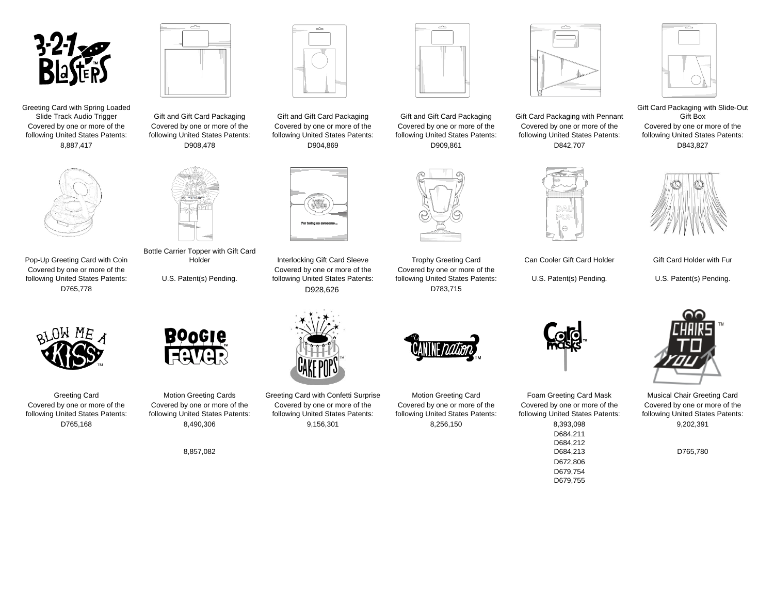

Greeting Card with Spring Loaded<br>Slide Track Audio Trigger Covered by one or more of the following United States Patents:



Pop-Up Greeting Card with Coin Covered by one or more of the following United States Patents: U.S. Patent(s) Pending.

OM ME



Covered by one or more of the following United States Patents:

Bottle Carrier Topper with Gift Card



Covered by one or more of the following United States Patents:



Holder **Interlocking Gift Card Sleeve** Trophy Greeting Card Can Cooler Gift Card Holder Gift Card Holder with Fur Covered by one or more of the following United States Patents:



Greeting Card **Motion Greeting Cards** Greeting Card with Confetti Surprise Motion Greeting Card Foam Greeting Card Mask Musical Chair Greeting Card Covered by one or more of the following United States Patents: D765,168 8,490,306 9,156,301 8,256,150 8,393,098 9,202,391

Covered by one or more of the following United States Patents:

**Boocle** 

8,857,082



Covered by one or more of the following United States Patents:

Covered by one or more of the following United States Patents:



Covered by one or more of the following United States Patents: U.S. Patent(s) Pending. U.S. Patent(s) Pending. D765,778 D928,626 D783,715

> Covered by one or more of the following United States Patents:



Gift and Gift Card Packaging Gift and Gift Card Packaging Gift and Gift Card Packaging Gift Card Packaging with Pennant Covered by one or more of the following United States Patents: 8,887,417 D908,478 D904,869 D909,861 D842,707 D843,827





Gift Card Packaging with Slide-Out Gift Box Covered by one or more of the following United States Patents:





Covered by one or more of the following United States Patents: D684,211 D684,212<br>D684,213 D672,806 D679,754 D679,755



Covered by one or more of the following United States Patents:

D765,780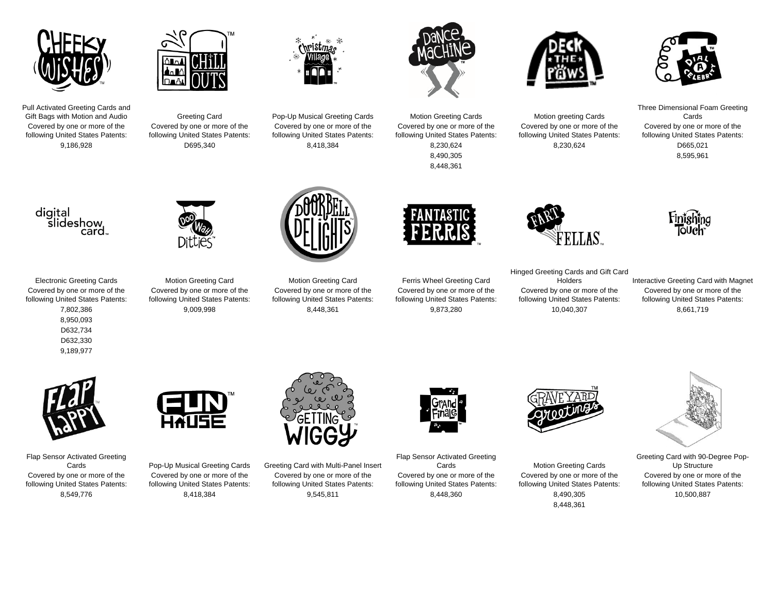





Covered by one or more of the following United States Patents: 9,186,928 D695,340 8,418,384 8,230,624 8,230,624 D665,021



Covered by one or more of the following United States Patents:



Covered by one or more of the following United States Patents:

8,448,361



Greeting Card **Pop-Up Musical Greeting Cards** Motion Greeting Cards Motion greeting Cards Motion greeting Cards Covered by one or more of the following United States Patents:



Three Dimensional Foam Greeting Cards Covered by one or more of the following United States Patents: 8,490,305 8,595,961



Covered by one or more of the following United States Patents:

8,950,093 D632,734 D632,330 9,189,977



Electronic Greeting Cards Motion Greeting Card Motion Greeting Card Ferris Wheel Greeting Card Covered by one or more of the following United States Patents: 7,802,386 9,009,998 8,448,361 9,873,280 10,040,307 8,661,719



Covered by one or more of the following United States Patents:



Covered by one or more of the following United States Patents:



Hinged Greeting Cards and Gift Card Covered by one or more of the following United States Patents:

Holders Interactive Greeting Card with Magnet Covered by one or more of the following United States Patents:

Finishing<br>Touch



Flap Sensor Activated Greeting Covered by one or more of the following United States Patents:



Covered by one or more of the following United States Patents:



Cards Pop-Up Musical Greeting Cards Greeting Card with Multi-Panel Insert Covered by one or more of the following United States Patents: 8,549,776 8,418,384 9,545,811 8,448,360 8,490,305 10,500,887



Flap Sensor Activated Greeting Covered by one or more of the following United States Patents:



**Motion Greeting Cards** Covered by one or more of the following United States Patents: 8,448,361



Greeting Card with 90-Degree Pop-Up Structure Covered by one or more of the following United States Patents: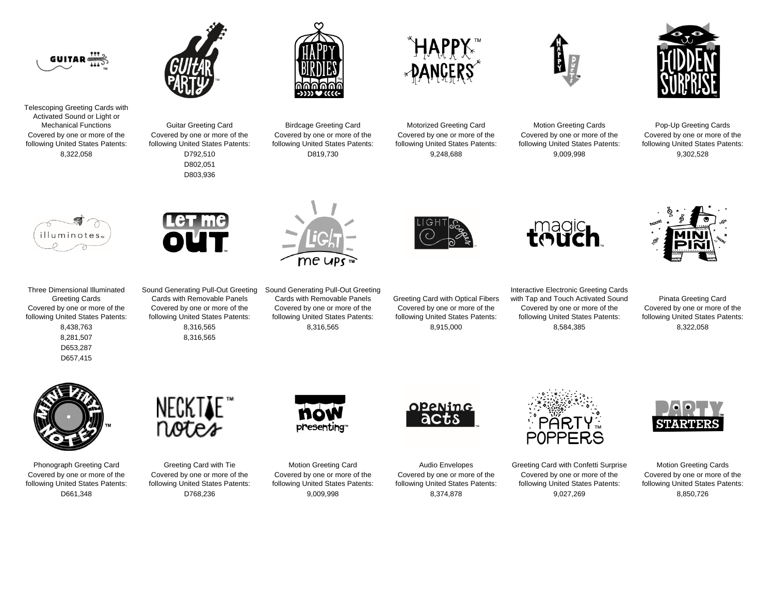



Telescoping Greeting Cards with Activated Sound or Light or Covered by one or more of the following United States Patents:

Covered by one or more of the following United States Patents: D802,051

D803,936



Covered by one or more of the following United States Patents:





Covered by one or more of the following United States Patents:

Guitar Greeting Card **Birdcage Greeting Card** Motorized Greeting Card Motion Greeting Cards Pop-Up Greeting Cards Covered by one or more of the following United States Patents: 8,322,058 D792,510 D819,730 9,248,688 9,009,998 9,302,528





Three Dimensional Illuminated Greeting Cards

Covered by one or more of the following United States Patents:

> D653,287 D657,415

Sound Generating Pull-Out Greeting Cards with Removable Panels Covered by one or more of the following United States Patents: 8,281,507 8,316,565

me ups

Sound Generating Pull-Out Greeting Covered by one or more of the following United States Patents: 8,438,763 8,316,565 8,316,565 8,915,000 8,584,385 8,322,058





Covered by one or more of the following United States Patents:

Greeting Card with Optical Fibers Covered by one or more of the following United States Patents:

Interactive Electronic Greeting Cards with Tap and Touch Activated Sound Pinata Greeting Card Covered by one or more of the following United States Patents:

Covered by one or more of the following United States Patents:



Covered by one or more of the following United States Patents:



Covered by one or more of the following United States Patents:



Covered by one or more of the following United States Patents:



Phonograph Greeting Card Greeting Card with Tie Motion Greeting Card Audio Envelopes Greeting Card with Confetti Surprise Motion Greeting Cards Covered by one or more of the following United States Patents: D661,348 D768,236 9,009,998 8,374,878 9,027,269 8,850,726



Covered by one or more of the following United States Patents: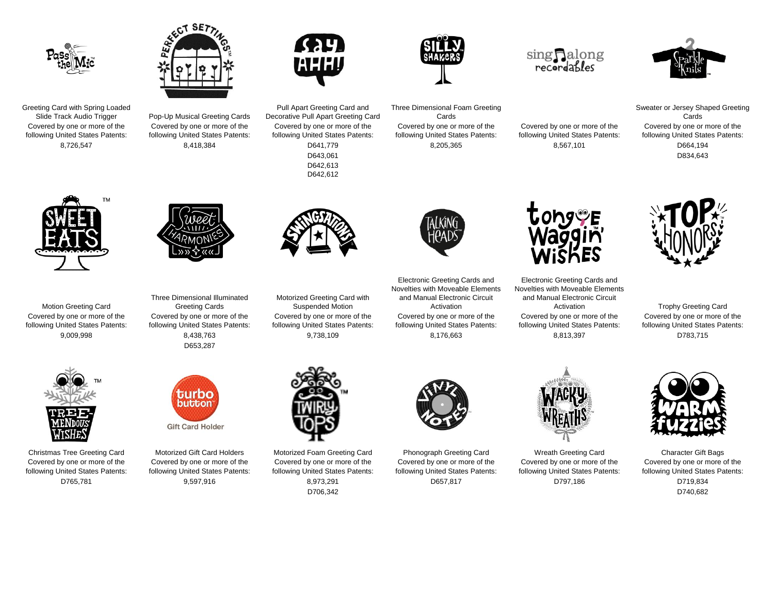



Greeting Card with Spring Loaded<br>Slide Track Audio Trigger Covered by one or more of the following United States Patents:

Pop-Up Musical Greeting Cards Covered by one or more of the following United States Patents:



Pull Apart Greeting Card and Decorative Pull Apart Greeting Card

Covered by one or more of the following United States Patents:

> D642,613 D642,612



Three Dimensional Foam Greeting Cards

Covered by one or more of the following United States Patents:

## sing Ralong<br>recordables

Covered by one or more of the following United States Patents:



Sweater or Jersey Shaped Greeting Cards Covered by one or more of the following United States Patents: 8,726,547 8,418,384 D641,779 8,205,365 8,567,101 D664,194 D643,061 D834,643



Motion Greeting Card Covered by one or more of the following United States Patents:



Three Dimensional Illuminated Greeting Cards Covered by one or more of the following United States Patents: D653,287



Motorized Greeting Card with Suspended Motion Covered by one or more of the following United States Patents:

Electronic Greeting Cards and Novelties with Moveable Elements and Manual Electronic Circuit Activation Covered by one or more of the following United States Patents: 9,009,998 8,438,763 9,738,109 8,176,663 8,813,397 D783,715



Electronic Greeting Cards and Novelties with Moveable Elements and Manual Electronic Circuit Covered by one or more of the following United States Patents:



Activation **Trophy Greeting Card** Covered by one or more of the following United States Patents:



Covered by one or more of the following United States Patents:



Christmas Tree Greeting Card Motorized Gift Card Holders Motorized Foam Greeting Card Phonograph Greeting Card Wreath Greeting Card Character Gift Bags Covered by one or more of the following United States Patents: D765,781 9,597,916 8,973,291 D657,817 D797,186 D719,834



Covered by one or more of the following United States Patents: D706,342 D740,682



Covered by one or more of the following United States Patents:



Covered by one or more of the following United States Patents:



Covered by one or more of the following United States Patents: